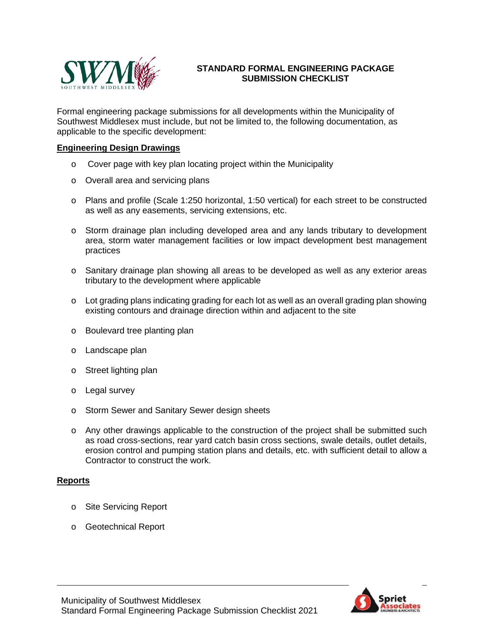

## **STANDARD FORMAL ENGINEERING PACKAGE SUBMISSION CHECKLIST**

Formal engineering package submissions for all developments within the Municipality of Southwest Middlesex must include, but not be limited to, the following documentation, as applicable to the specific development:

### **Engineering Design Drawings**

- o Cover page with key plan locating project within the Municipality
- o Overall area and servicing plans
- o Plans and profile (Scale 1:250 horizontal, 1:50 vertical) for each street to be constructed as well as any easements, servicing extensions, etc.
- o Storm drainage plan including developed area and any lands tributary to development area, storm water management facilities or low impact development best management practices
- o Sanitary drainage plan showing all areas to be developed as well as any exterior areas tributary to the development where applicable
- $\circ$  Lot grading plans indicating grading for each lot as well as an overall grading plan showing existing contours and drainage direction within and adjacent to the site
- o Boulevard tree planting plan
- o Landscape plan
- o Street lighting plan
- o Legal survey
- o Storm Sewer and Sanitary Sewer design sheets
- o Any other drawings applicable to the construction of the project shall be submitted such as road cross-sections, rear yard catch basin cross sections, swale details, outlet details, erosion control and pumping station plans and details, etc. with sufficient detail to allow a Contractor to construct the work.

#### **Reports**

- o Site Servicing Report
- o Geotechnical Report